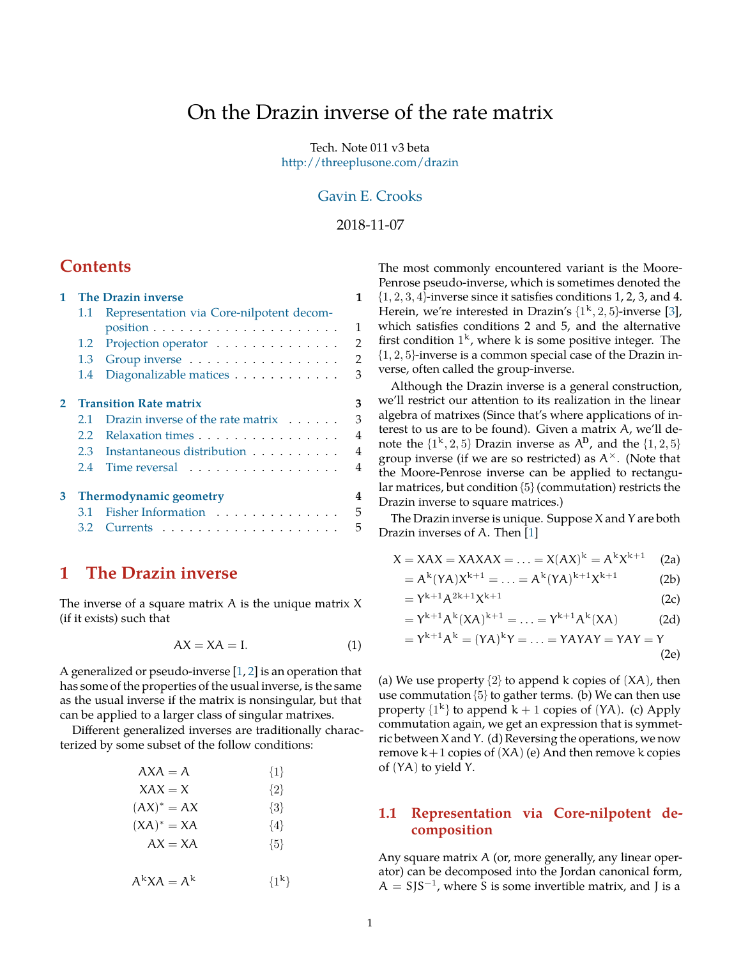# <span id="page-0-3"></span>On the Drazin inverse of the rate matrix

Tech. Note 011 v3 beta <http://threeplusone.com/drazin>

## [Gavin E. Crooks](http://threeplusone.com/)

2018-11-07

## **Contents**

| <b>The Drazin inverse</b><br>1                |                                              |                                                                                        |
|-----------------------------------------------|----------------------------------------------|----------------------------------------------------------------------------------------|
| 1.1                                           | Representation via Core-nilpotent decom-     |                                                                                        |
|                                               |                                              | 1                                                                                      |
|                                               |                                              | $\overline{2}$                                                                         |
| 1.3                                           | Group inverse                                | $\overline{2}$                                                                         |
| $1.4^{\circ}$                                 | Diagonalizable matices                       | 3                                                                                      |
| <b>Transition Rate matrix</b><br>$\mathbf{2}$ |                                              | 3                                                                                      |
| 2.1                                           | Drazin inverse of the rate matrix $\ldots$ . | 3                                                                                      |
| $2.2^{\circ}$                                 |                                              | $\overline{4}$                                                                         |
| 2.3                                           | Instantaneous distribution                   | $\overline{4}$                                                                         |
| 2.4                                           |                                              | 4                                                                                      |
|                                               |                                              | 4                                                                                      |
| 3.1                                           | Fisher Information                           | 5                                                                                      |
| 3.2                                           |                                              | 5                                                                                      |
|                                               |                                              | 1.2 Projection operator<br>Relaxation times<br>Time reversal<br>Thermodynamic geometry |

## <span id="page-0-0"></span>**1 The Drazin inverse**

The inverse of a square matrix  $A$  is the unique matrix  $X$ (if it exists) such that

$$
AX = XA = I.
$$
 (1)

A generalized or pseudo-inverse [[1,](#page-5-0) [2](#page-5-1)] is an operation that has some of the properties of the usual inverse, is the same as the usual inverse if the matrix is nonsingular, but that can be applied to a larger class of singular matrixes.

Different generalized inverses are traditionally characterized by some subset of the follow conditions:

| $AXA = A$     | $\{1\}$ |
|---------------|---------|
| $XAX = X$     | $\{2\}$ |
| $(AX)^* = AX$ | $\{3\}$ |
| $(XA)^* = XA$ | $\{4\}$ |
| $AX = XA$     | ${5}$   |
|               |         |

$$
A^k X A = A^k \qquad \{1^k\}
$$

The most commonly encountered variant is the Moore-Penrose pseudo-inverse, which is sometimes denoted the  $\{1, 2, 3, 4\}$ -inverse since it satisfies conditions 1, 2, 3, and 4. Herein, we're interested in Drazin's  $\{1^k, 2, 5\}$ -inverse [[3\]](#page-5-2), which satisfies conditions 2 and 5, and the alternative first condition  $1^k$ , where k is some positive integer. The  $\{1, 2, 5\}$ -inverse is a common special case of the Drazin inverse, often called the group-inverse.

Although the Drazin inverse is a general construction, we'll restrict our attention to its realization in the linear algebra of matrixes (Since that's where applications of interest to us are to be found). Given a matrix A, we'll denote the  $\{1^k, 2, 5\}$  Drazin inverse as  $A^D$ , and the  $\{1, 2, 5\}$ group inverse (if we are so restricted) as A*×*. (Note that the Moore-Penrose inverse can be applied to rectangular matrices, but condition {5} (commutation) restricts the Drazin inverse to square matrices.)

The Drazin inverse is unique. Suppose X and Y are both Drazin inverses of A. Then [[1\]](#page-5-0)

$$
X = XAX = XAXAX = \ldots = X(AX)^{k} = A^{k}X^{k+1}
$$
 (2a)

<span id="page-0-2"></span>
$$
= A^{k}(YA)X^{k+1} = \ldots = A^{k}(YA)^{k+1}X^{k+1}
$$
 (2b)

$$
=\Upsilon^{k+1}\mathcal{A}^{2k+1}\chi^{k+1}\tag{2c}
$$

$$
= Y^{k+1} A^{k} (XA)^{k+1} = \ldots = Y^{k+1} A^{k} (XA)
$$
 (2d)

$$
= Y^{k+1}A^{k} = (YA)^{k}Y = \ldots = YAYAY = YAY = Y
$$
\n(2e)

(a) We use property  $\{2\}$  to append k copies of  $(XA)$ , then use commutation  $\{5\}$  to gather terms. (b) We can then use property  $\{1^k\}$  to append  $k + 1$  copies of  $(YA)$ . (c) Apply commutation again, we get an expression that is symmetric between X and Y. (d) Reversing the operations, we now remove  $k+1$  copies of  $(XA)$  (e) And then remove k copies of (YA) to yield Y.

### <span id="page-0-1"></span>**1.1 Representation via Core-nilpotent decomposition**

Any square matrix A (or, more generally, any linear operator) can be decomposed into the Jordan canonical form,  $A = SJS^{-1}$ , where S is some invertible matrix, and J is a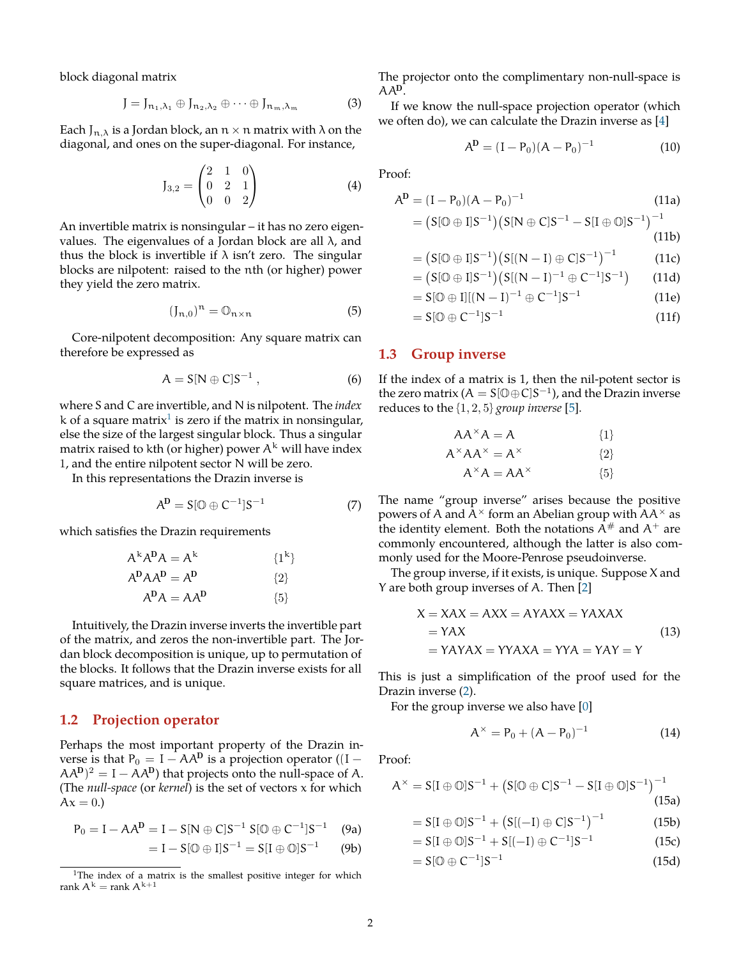<span id="page-1-4"></span>block diagonal matrix

$$
J = J_{n_1, \lambda_1} \oplus J_{n_2, \lambda_2} \oplus \cdots \oplus J_{n_m, \lambda_m}
$$
 (3)

Each  $J_{n,\lambda}$  is a Jordan block, an  $n \times n$  matrix with  $\lambda$  on the diagonal, and ones on the super-diagonal. For instance,

$$
J_{3,2} = \begin{pmatrix} 2 & 1 & 0 \\ 0 & 2 & 1 \\ 0 & 0 & 2 \end{pmatrix}
$$
 (4)

An invertible matrix is nonsingular – it has no zero eigenvalues. The eigenvalues of a Jordan block are all  $\lambda$ , and thus the block is invertible if  $\lambda$  isn't zero. The singular blocks are nilpotent: raised to the nth (or higher) power they yield the zero matrix.

$$
(\mathfrak{J}_{n,0})^n = \mathbb{O}_{n \times n} \tag{5}
$$

Core-nilpotent decomposition: Any square matrix can therefore be expressed as

$$
A = S[N \oplus C]S^{-1}, \qquad (6)
$$

where S and C are invertible, and N is nilpotent. The *index* k of a square matrix $^1$  $^1$  is zero if the matrix in nonsingular, else the size of the largest singular block. Thus a singular matrix raised to kth (or higher) power  $A^k$  will have index 1, and the entire nilpotent sector N will be zero.

In this representations the Drazin inverse is

$$
A^D = S[0 \oplus C^{-1}]S^{-1}
$$
 (7)

which satisfies the Drazin requirements

$$
A^{k}A^{D}A = A^{k}
$$
  
\n
$$
A^{D}AA^{D} = A^{D}
$$
  
\n
$$
A^{D}A = AA^{D}
$$
  
\n
$$
\{1^{k}\}
$$
  
\n
$$
\{1^{k}\}
$$
  
\n
$$
\{2\}
$$
  
\n
$$
\{3\}
$$

Intuitively, the Drazin inverse inverts the invertible part of the matrix, and zeros the non-invertible part. The Jordan block decomposition is unique, up to permutation of the blocks. It follows that the Drazin inverse exists for all square matrices, and is unique.

#### <span id="page-1-0"></span>**1.2 Projection operator**

Perhaps the most important property of the Drazin inverse is that  $P_0 = I - AA^D$  is a projection operator ((I –  $(AA^D)^2 = I - AA^D$ ) that projects onto the null-space of A. (The *null-space* (or *kernel*) is the set of vectors x for which  $Ax = 0.$ 

$$
P_0 = I - AA^D = I - S[N \oplus C]S^{-1} S[0 \oplus C^{-1}]S^{-1}
$$
 (9a)

$$
= I - S[0 \oplus I]S^{-1} = S[I \oplus \mathbb{O}]S^{-1}
$$
 (9b)

The projector onto the complimentary non-null-space is AAD.

If we know the null-space projection operator (which we often do), we can calculate the Drazin inverse as [[4\]](#page-5-3)

$$
AD = (I - P0)(A - P0)-1
$$
 (10)

Proof:

$$
A^{D} = (I - P_{0})(A - P_{0})^{-1}
$$
\n(11a)

$$
= \big(\mathrm{S}[\mathbb{O}\oplus\mathrm{I}] \mathrm{S}^{-1}\big) \big(\mathrm{S}[\mathrm{N}\oplus\mathrm{C}] \mathrm{S}^{-1} - \mathrm{S}[\mathrm{I}\oplus\mathbb{O}] \mathrm{S}^{-1}\big)^{-1} \tag{11b}
$$

$$
=\big(S[\mathbb{O}\oplus I]S^{-1}\big)\big(S[(N-I)\oplus C]S^{-1}\big)^{-1}\hspace{1.5cm}(11c)
$$

$$
= (S[\mathbb{O} \oplus I]S^{-1}) (S[(N-I)^{-1} \oplus C^{-1}]S^{-1}) \qquad (11d)
$$

$$
= S[0 \oplus I] [(N - I)^{-1} \oplus C^{-1}] S^{-1}
$$
 (11e)

 $= S[0 \oplus C^{-1}]S^{-1}$ (11f)

#### <span id="page-1-1"></span>**1.3 Group inverse**

If the index of a matrix is 1, then the nil-potent sector is the zero matrix  $(A = S[\mathbb{O} \oplus C]S^{-1})$ , and the Drazin inverse reduces to the {1, 2, 5} *group inverse* [\[5](#page-5-4)].

$$
AA^{\times}A = A \qquad \qquad \{1\}
$$

$$
A^{\times}AA^{\times} = A^{\times}
$$
 [2]

$$
A^{\times}A = AA^{\times} \qquad \qquad \{5\}
$$

The name "group inverse" arises because the positive powers of A and A*<sup>×</sup>* form an Abelian group with AA*<sup>×</sup>* as the identity element. Both the notations  $A^{\#}$  and  $A^+$  are commonly encountered, although the latter is also commonly used for the Moore-Penrose pseudoinverse.

The group inverse, if it exists, is unique. Suppose X and Y are both group inverses of A. Then [[2\]](#page-5-1)

$$
X = XAX = AXX = AYAXX = YAXAX
$$
  
= YAX  
= YAYAX = YYAXA = YYA = YAY = Y (13)

This is just a simplification of the proof used for the Drazin inverse ([2\)](#page-0-2).

For the group inverse we also have [\[0](#page-5-5)]

$$
A^{\times} = P_0 + (A - P_0)^{-1}
$$
 (14)

Proof:

$$
A^{\times} = S[I \oplus \mathbb{O}]S^{-1} + (S[\mathbb{O} \oplus C]S^{-1} - S[I \oplus \mathbb{O}]S^{-1})^{-1}
$$
\n(15a)

$$
= S[I \oplus \mathbb{O}]S^{-1} + (S[(-I) \oplus C]S^{-1})^{-1}
$$
 (15b)

$$
= S[I \oplus \mathbb{O}]S^{-1} + S[(-I) \oplus C^{-1}]S^{-1}
$$
 (15c)

<span id="page-1-2"></span>
$$
= S[0 \oplus C^{-1}]S^{-1}
$$
 (15d)

<span id="page-1-3"></span><sup>&</sup>lt;sup>1</sup>The index of a matrix is the smallest positive integer for which rank  $A^k$  = rank  $A^{k+1}$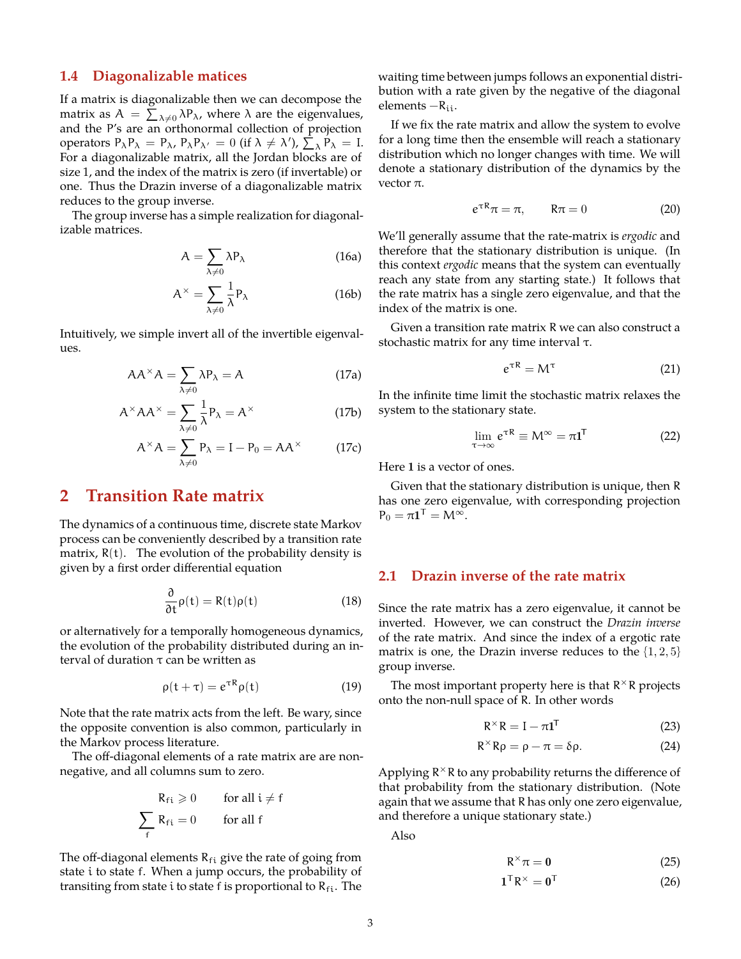### **1.4 Diagonalizable matices**

If a matrix is diagonalizable then we can decompose the matrix as  $A = \sum_{\lambda \neq 0} \lambda P_{\lambda}$ , where  $\lambda$  are the eigenvalues, and the P's are an orthonormal collection of projection operators  $P_{\lambda}P_{\lambda} = P_{\lambda}$ ,  $P_{\lambda}P_{\lambda'} = 0$  (if  $\lambda \neq \lambda'$ ),  $\sum_{\lambda} P_{\lambda} = I$ . For a diagonalizable matrix, all the Jordan blocks are of size 1, and the index of the matrix is zero (if invertable) or one. Thus the Drazin inverse of a diagonalizable matrix reduces to the group inverse.

The group inverse has a simple realization for diagonalizable matrices.

$$
A = \sum_{\lambda \neq 0} \lambda P_{\lambda}
$$
 (16a)

$$
A^{\times} = \sum_{\lambda \neq 0} \frac{1}{\lambda} P_{\lambda}
$$
 (16b)

Intuitively, we simple invert all of the invertible eigenvalues.

$$
AA^{\times}A = \sum_{\lambda \neq 0} \lambda P_{\lambda} = A
$$
 (17a)

$$
A^{\times}AA^{\times} = \sum_{\lambda \neq 0} \frac{1}{\lambda} P_{\lambda} = A^{\times}
$$
 (17b)

$$
A^{\times} A = \sum_{\lambda \neq 0} P_{\lambda} = I - P_0 = AA^{\times}
$$
 (17c)

## <span id="page-2-0"></span>**2 Transition Rate matrix**

The dynamics of a continuous time, discrete state Markov process can be conveniently described by a transition rate matrix,  $R(t)$ . The evolution of the probability density is given by a first order differential equation

$$
\frac{\partial}{\partial t}\rho(t) = R(t)\rho(t)
$$
 (18)

or alternatively for a temporally homogeneous dynamics, the evolution of the probability distributed during an interval of duration τ can be written as

$$
\rho(t+\tau) = e^{\tau R} \rho(t) \tag{19}
$$

Note that the rate matrix acts from the left. Be wary, since the opposite convention is also common, particularly in the Markov process literature.

The off-diagonal elements of a rate matrix are are nonnegative, and all columns sum to zero.

$$
R_{fi} \geqslant 0 \qquad \text{for all } i \neq f
$$

$$
\sum_{f} R_{fi} = 0 \qquad \text{for all } f
$$

The off-diagonal elements  $R_{fi}$  give the rate of going from state i to state f. When a jump occurs, the probability of transiting from state i to state f is proportional to  $R_{fi}$ . The waiting time between jumps follows an exponential distribution with a rate given by the negative of the diagonal elements −Rii.

If we fix the rate matrix and allow the system to evolve for a long time then the ensemble will reach a stationary distribution which no longer changes with time. We will denote a stationary distribution of the dynamics by the vector π.

$$
e^{\tau R}\pi = \pi, \qquad R\pi = 0 \tag{20}
$$

We'll generally assume that the rate-matrix is *ergodic* and therefore that the stationary distribution is unique. (In this context *ergodic* means that the system can eventually reach any state from any starting state.) It follows that the rate matrix has a single zero eigenvalue, and that the index of the matrix is one.

Given a transition rate matrix R we can also construct a stochastic matrix for any time interval τ.

$$
e^{\tau R} = M^{\tau} \tag{21}
$$

In the infinite time limit the stochastic matrix relaxes the system to the stationary state.

$$
\lim_{\tau \to \infty} e^{\tau R} \equiv M^{\infty} = \pi \mathbf{1}^{\mathsf{T}} \tag{22}
$$

Here 1 is a vector of ones.

Given that the stationary distribution is unique, then R has one zero eigenvalue, with corresponding projection  $P_0 = \pi \mathbf{1}^{\mathsf{T}} = M^{\infty}.$ 

## <span id="page-2-1"></span>**2.1 Drazin inverse of the rate matrix**

Since the rate matrix has a zero eigenvalue, it cannot be inverted. However, we can construct the *Drazin inverse* of the rate matrix. And since the index of a ergotic rate matrix is one, the Drazin inverse reduces to the  $\{1, 2, 5\}$ group inverse.

The most important property here is that R *<sup>×</sup>*R projects onto the non-null space of R. In other words

$$
R^{\times}R = I - \pi 1^{T}
$$
 (23)

$$
R^{\times}R\rho = \rho - \pi = \delta\rho. \tag{24}
$$

Applying R *<sup>×</sup>*R to any probability returns the difference of that probability from the stationary distribution. (Note again that we assume that R has only one zero eigenvalue, and therefore a unique stationary state.)

Also

$$
R^{\times}\pi = 0 \tag{25}
$$

$$
\mathbf{1}^{\top} \mathsf{R}^{\times} = \mathbf{0}^{\top} \tag{26}
$$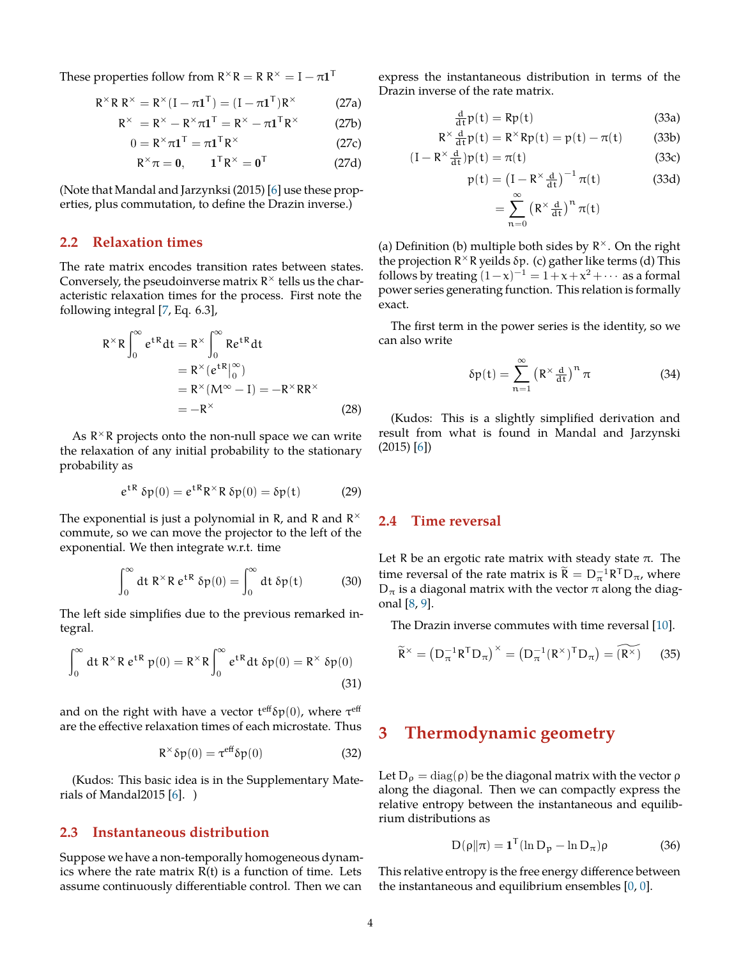<span id="page-3-6"></span>These properties follow from  $R^\times R = R R^\times = I - \pi 1^T$ 

$$
R^{\times}R R^{\times} = R^{\times} (I - \pi \mathbf{1}^{T}) = (I - \pi \mathbf{1}^{T})R^{\times}
$$
 (27a)

$$
R^{\times} = R^{\times} - R^{\times} \pi \mathbf{1}^{\mathsf{T}} = R^{\times} - \pi \mathbf{1}^{\mathsf{T}} R^{\times}
$$
 (27b)

$$
0 = R^{\times} \pi \mathbf{1}^{\mathsf{T}} = \pi \mathbf{1}^{\mathsf{T}} R^{\times}
$$
 (27c)

$$
R^{\times}\pi = 0, \qquad \mathbf{1}^{\mathsf{T}}R^{\times} = \mathbf{0}^{\mathsf{T}} \tag{27d}
$$

(Note that Mandal and Jarzynksi (2015) [\[6](#page-5-6)] use these properties, plus commutation, to define the Drazin inverse.)

### <span id="page-3-0"></span>**2.2 Relaxation times**

The rate matrix encodes transition rates between states. Conversely, the pseudoinverse matrix R *×* tells us the characteristic relaxation times for the process. First note the following integral [\[7](#page-5-7), Eq. 6.3],

$$
R^{\times}R\int_{0}^{\infty}e^{tR}dt = R^{\times}\int_{0}^{\infty}Re^{tR}dt
$$
  
=  $R^{\times}(e^{tR}|_{0}^{\infty})$   
=  $R^{\times}(M^{\infty}-I) = -R^{\times}RR^{\times}$   
=  $-R^{\times}$  (28)

As R *<sup>×</sup>*R projects onto the non-null space we can write the relaxation of any initial probability to the stationary probability as

$$
e^{tR} \delta p(0) = e^{tR} R^{\times} R \delta p(0) = \delta p(t) \qquad (29)
$$

The exponential is just a polynomial in R, and R and R *×* commute, so we can move the projector to the left of the exponential. We then integrate w.r.t. time

$$
\int_0^\infty dt \; R^\times R \; e^{tR} \; \delta p(0) = \int_0^\infty dt \; \delta p(t) \tag{30}
$$

The left side simplifies due to the previous remarked integral.

$$
\int_0^\infty dt \, R^\times R \, e^{tR} \, p(0) = R^\times R \int_0^\infty e^{tR} dt \, \delta p(0) = R^\times \, \delta p(0)
$$
\n(31)

and on the right with have a vector  ${\sf t}^{\rm eff}$ δp $(0)$ , where  ${\sf t}^{\rm eff}$ are the effective relaxation times of each microstate. Thus

$$
R^{\times}\delta p(0) = \tau^{\text{eff}}\delta p(0) \tag{32}
$$

(Kudos: This basic idea is in the Supplementary Materials of Mandal2015  $[6]$  $[6]$ . )

### <span id="page-3-1"></span>**2.3 Instantaneous distribution**

Suppose we have a non-temporally homogeneous dynamics where the rate matrix  $R(t)$  is a function of time. Lets assume continuously differentiable control. Then we can express the instantaneous distribution in terms of the Drazin inverse of the rate matrix.

$$
\frac{d}{dt}p(t) = Rp(t)
$$
\n(33a)

$$
R^{\times} \frac{d}{dt} p(t) = R^{\times} R p(t) = p(t) - \pi(t) \tag{33b}
$$

$$
(I - R^{\times} \frac{d}{dt})p(t) = \pi(t)
$$
 (33c)

$$
p(t) = (I - R^{\times} \frac{d}{dt})^{-1} \pi(t)
$$
 (33d)  

$$
= \sum^{\infty} (R^{\times} \frac{d}{dt})^n \pi(t)
$$

(a) Definition (b) multiple both sides by R *×*. On the right the projection R *<sup>×</sup>*R yeilds δp. (c) gather like terms (d) This follows by treating  $(1-x)^{-1} = 1 + x + x^2 + \cdots$  as a formal power series generating function. This relation is formally exact.

 $n=0$ 

The first term in the power series is the identity, so we can also write

<span id="page-3-5"></span>
$$
\delta p(t) = \sum_{n=1}^{\infty} \left( R^{\times} \frac{d}{dt} \right)^n \pi \tag{34}
$$

(Kudos: This is a slightly simplified derivation and result from what is found in Mandal and Jarzynski (2015) [\[6](#page-5-6)])

### <span id="page-3-2"></span>**2.4 Time reversal**

Let R be an ergotic rate matrix with steady state  $\pi$ . The time reversal of the rate matrix is  $\tilde{R} = D_{\pi}^{-1} R^{T} D_{\pi}$ , where  $D_{\pi}$  is a diagonal matrix with the vector  $\pi$  along the diagonal [\[8,](#page-5-8) [9\]](#page-5-9).

The Drazin inverse commutes with time reversal [\[10](#page-5-10)].

$$
\widetilde{\mathsf{R}}^{\times} = \left(\mathsf{D}_{\pi}^{-1} \mathsf{R}^{\mathsf{T}} \mathsf{D}_{\pi}\right)^{\times} = \left(\mathsf{D}_{\pi}^{-1} (\mathsf{R}^{\times})^{\mathsf{T}} \mathsf{D}_{\pi}\right) = \widetilde{\left(\mathsf{R}^{\times}\right)} \tag{35}
$$

## <span id="page-3-3"></span>**3 Thermodynamic geometry**

Let  $D_{\rho} = \text{diag}(\rho)$  be the diagonal matrix with the vector  $\rho$ along the diagonal. Then we can compactly express the relative entropy between the instantaneous and equilibrium distributions as

<span id="page-3-4"></span>
$$
D(\rho||\pi) = \mathbf{1}^{T}(\ln D_{p} - \ln D_{\pi})\rho
$$
 (36)

This relative entropy is the free energy difference between the instantaneous and equilibrium ensembles  $[0, 0]$  $[0, 0]$  $[0, 0]$  $[0, 0]$ .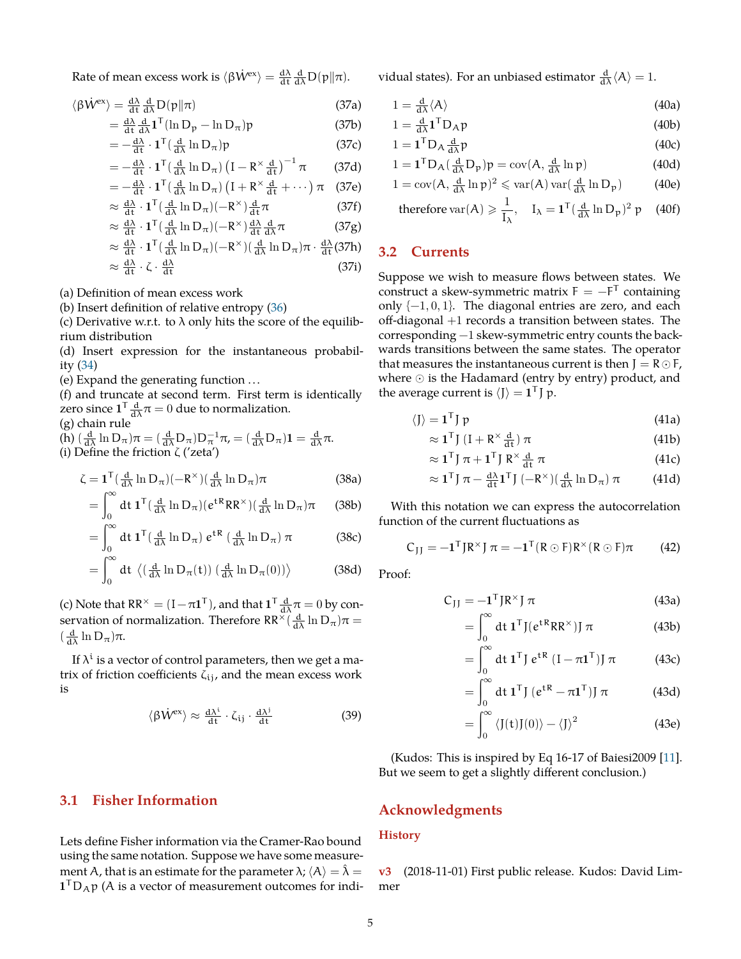<span id="page-4-2"></span>Rate of mean excess work is  $\langle \beta \dot{W}^{ex} \rangle = \frac{d\lambda}{dt} \frac{d}{d\lambda} D(\mathbf{p} || \pi)$ .

$$
\langle \beta \dot{W}^{\rm ex} \rangle = \frac{d\lambda}{dt} \frac{d}{d\lambda} D(p||\pi)
$$
 (37a)

$$
= \frac{d\lambda}{dt} \frac{d}{d\lambda} \mathbf{1}^{\mathsf{T}} (\ln \mathsf{D}_{\mathsf{p}} - \ln \mathsf{D}_{\pi}) \mathsf{p} \tag{37b}
$$

$$
= -\frac{d\lambda}{dt} \cdot \mathbf{1}^{T} \left( \frac{d}{d\lambda} \ln D_{\pi} \right) p \tag{37c}
$$

$$
= -\frac{d\lambda}{dt} \cdot \mathbf{1}^{T} \left(\frac{d}{d\lambda} \ln D_{\pi}\right) \left(I - R^{\times} \frac{d}{dt}\right)^{-1} \pi \tag{37d}
$$

$$
= -\frac{d\lambda}{dt} \cdot \mathbf{1}^{T} \left( \frac{d}{d\lambda} \ln D_{\pi} \right) \left( I + R^{\times} \frac{d}{dt} + \cdots \right) \pi \quad (37e)
$$

$$
\approx \frac{d\lambda}{dt} \cdot \mathbf{1}^{\mathsf{T}} \left( \frac{d}{d\lambda} \ln \mathbf{D}_{\pi} \right) \left( -\mathbf{R}^{\times} \right) \frac{d}{dt} \pi \tag{37f}
$$

$$
\approx \frac{d\lambda}{dt} \cdot \mathbf{1}^{\mathsf{T}} \left( \frac{d}{d\lambda} \ln \mathsf{D}_{\pi} \right) \left( -\mathsf{R}^{\times} \right) \frac{d\lambda}{dt} \frac{d}{d\lambda} \pi \tag{37g}
$$

$$
\approx \frac{d\lambda}{dt} \cdot \mathbf{1}^{T} \left( \frac{d}{d\lambda} \ln D_{\pi} \right) \left( -\mathbf{R}^{\times} \right) \left( \frac{d}{d\lambda} \ln D_{\pi} \right) \pi \cdot \frac{d\lambda}{dt} \left( 37\mathbf{h} \right)
$$

$$
\approx \frac{d\lambda}{dt} \cdot \zeta \cdot \frac{d\lambda}{dt} \tag{37i}
$$

(a) Definition of mean excess work

(b) Insert definition of relative entropy ([36\)](#page-3-4)

(c) Derivative w.r.t. to  $\lambda$  only hits the score of the equilibrium distribution

(d) Insert expression for the instantaneous probability [\(34](#page-3-5))

(e) Expand the generating function . . .

(f) and truncate at second term. First term is identically zero since  $1^{\mathsf{T}} \frac{d}{d\lambda} \pi = 0$  due to normalization.

(g) chain rule

(h)  $\left(\frac{d}{d\lambda}\ln D_{\pi}\right)\pi = \left(\frac{d}{d\lambda}D_{\pi}\right)D_{\pi}^{-1}\pi = \left(\frac{d}{d\lambda}D_{\pi}\right)\mathbf{1} = \frac{d}{d\lambda}\pi.$ (i) Define the friction ζ ('zeta')

$$
\zeta = \mathbf{1}^{\mathsf{T}} \left( \frac{\mathrm{d}}{\mathrm{d}\lambda} \ln \mathrm{D}_{\pi} \right) \left( -\mathrm{R}^{\times} \right) \left( \frac{\mathrm{d}}{\mathrm{d}\lambda} \ln \mathrm{D}_{\pi} \right) \pi \tag{38a}
$$

$$
= \int_0^\infty dt \, \mathbf{1}^{\mathsf{T}} \left( \frac{d}{d\lambda} \ln \mathsf{D}_{\pi} \right) \left( e^{t\mathsf{R}} \mathsf{R} \mathsf{R}^{\times} \right) \left( \frac{d}{d\lambda} \ln \mathsf{D}_{\pi} \right) \pi \qquad \text{(38b)}
$$

$$
= \int_0^\infty dt \, \mathbf{1}^{\mathsf{T}} \left( \frac{d}{d\lambda} \ln \mathsf{D}_\pi \right) e^{\mathsf{t} \mathsf{R}} \left( \frac{d}{d\lambda} \ln \mathsf{D}_\pi \right) \pi \tag{38c}
$$

$$
= \int_0^\infty dt \ \langle \left( \frac{d}{d\lambda} \ln D_\pi(t) \right) \left( \frac{d}{d\lambda} \ln D_\pi(0) \right) \rangle \tag{38d}
$$

(c) Note that  $RR^{\times} = (I - \pi \mathbf{1}^{\mathsf{T}})$ , and that  $\mathbf{1}^{\mathsf{T}} \frac{d}{d\lambda} \pi = 0$  by conservation of normalization. Therefore  $\mathsf{RR}^\times(\frac{\mathrm{d}}{\mathrm{d}\lambda}\ln\mathrm{D}_\pi)\pi=$  $\left(\frac{\mathrm{d}}{\mathrm{d}\lambda}\ln\mathrm{D}_{\pi}\right)\pi$ .

If  $\lambda^i$  is a vector of control parameters, then we get a matrix of friction coefficients  $\zeta_{ij}$ , and the mean excess work is

$$
\langle \beta \dot{W}^{\rm ex} \rangle \approx \frac{d\lambda^i}{dt} \cdot \zeta_{ij} \cdot \frac{d\lambda^j}{dt} \tag{39}
$$

### <span id="page-4-0"></span>**3.1 Fisher Information**

Lets define Fisher information via the Cramer-Rao bound using the same notation. Suppose we have some measurement A, that is an estimate for the parameter  $\lambda$ ;  $\langle A \rangle = \hat{\lambda}$  $1^{\mathsf{T}}D_A p$  (A is a vector of measurement outcomes for individual states). For an unbiased estimator  $\frac{d}{d\lambda} \langle A \rangle = 1$ .

$$
1 = \frac{\mathrm{d}}{\mathrm{d}\lambda} \langle \mathbf{A} \rangle \tag{40a}
$$

$$
1 = \frac{d}{d\lambda} \mathbf{1}^{\mathsf{T}} \mathbf{D}_{\mathsf{A}} \mathsf{p} \tag{40b}
$$

$$
1 = \mathbf{1}^{\mathrm{T}} \mathbf{D}_{\mathrm{A}} \frac{\mathrm{d}}{\mathrm{d}\lambda} \mathbf{p} \tag{40c}
$$

$$
1 = \mathbf{1}^{\mathsf{T}} \mathbf{D}_{\mathsf{A}} \left( \frac{\mathrm{d}}{\mathrm{d}\lambda} \mathbf{D}_{\mathfrak{p}} \right) \mathfrak{p} = \mathrm{cov}(\mathsf{A}, \frac{\mathrm{d}}{\mathrm{d}\lambda} \ln \mathfrak{p}) \tag{40d}
$$

$$
1 = \operatorname{cov}(A, \frac{d}{d\lambda} \ln p)^2 \leq \operatorname{var}(A) \operatorname{var}(\frac{d}{d\lambda} \ln D_p)
$$
(40e)

therefore var(A) 
$$
\geqslant \frac{1}{I_{\lambda}}
$$
,  $I_{\lambda} = \mathbf{1}^{T} (\frac{d}{d\lambda} \ln D_{p})^{2} p$  (40f)

#### <span id="page-4-1"></span>**3.2 Currents**

Suppose we wish to measure flows between states. We construct a skew-symmetric matrix  $F = -F<sup>T</sup>$  containing only {−1, 0, 1}. The diagonal entries are zero, and each off-diagonal +1 records a transition between states. The corresponding −1 skew-symmetric entry counts the backwards transitions between the same states. The operator that measures the instantaneous current is then  $J = R \odot F$ , where *⊙* is the Hadamard (entry by entry) product, and the average current is  $\langle J \rangle = \mathbf{1}^T J p$ .

$$
\langle J \rangle = \mathbf{1}^T J p \tag{41a}
$$

$$
\approx \mathbf{1}^{\mathsf{T}} \mathsf{J} \left( \mathsf{I} + \mathsf{R}^{\times} \frac{\mathrm{d}}{\mathrm{d} \mathsf{t}} \right) \pi \tag{41b}
$$

$$
\approx 1^{\mathsf{T}} \, \mathsf{J} \, \pi + 1^{\mathsf{T}} \, \mathsf{J} \, \mathsf{R}^{\times} \, \frac{\mathrm{d}}{\mathrm{d} \mathsf{t}} \, \pi \tag{41c}
$$

$$
\approx 1^{\mathsf{T}} \mathsf{J} \, \pi - \tfrac{d\lambda}{dt} 1^{\mathsf{T}} \mathsf{J} \, (-\mathsf{R}^{\times}) \left( \tfrac{d}{d\lambda} \ln \mathsf{D}_{\pi} \right) \pi \tag{41d}
$$

With this notation we can express the autocorrelation function of the current fluctuations as

$$
C_{JJ} = -\mathbf{1}^{T} J R^{\times} J \pi = -\mathbf{1}^{T} (R \odot F) R^{\times} (R \odot F) \pi
$$
 (42)

Proof:

$$
C_{JJ} = -\mathbf{1}^{T} J R^{\times} J \pi \tag{43a}
$$

$$
= \int_0^\infty dt \, \mathbf{1}^{\mathsf{T}} J(e^{tR}RR^\times) J \, \pi \tag{43b}
$$

$$
= \int_0^\infty dt \, \mathbf{1}^{\mathsf{T}} \, \mathsf{J} \, e^{\mathsf{t} \, \mathsf{R}} \, \left( \mathsf{I} - \pi \mathbf{1}^{\mathsf{T}} \right) \mathsf{J} \, \pi \tag{43c}
$$

$$
= \int_0^\infty dt \, \mathbf{1}^T J \left( e^{tR} - \pi \mathbf{1}^T \right) J \, \pi \tag{43d}
$$

$$
=\int_0^\infty \langle J(t)J(0)\rangle - \langle J\rangle^2
$$
 (43e)

(Kudos: This is inspired by Eq 16-17 of Baiesi2009 [\[11](#page-5-11)]. But we seem to get a slightly different conclusion.)

### **Acknowledgments**

#### **History**

**v3** (2018-11-01) First public release. Kudos: David Limmer